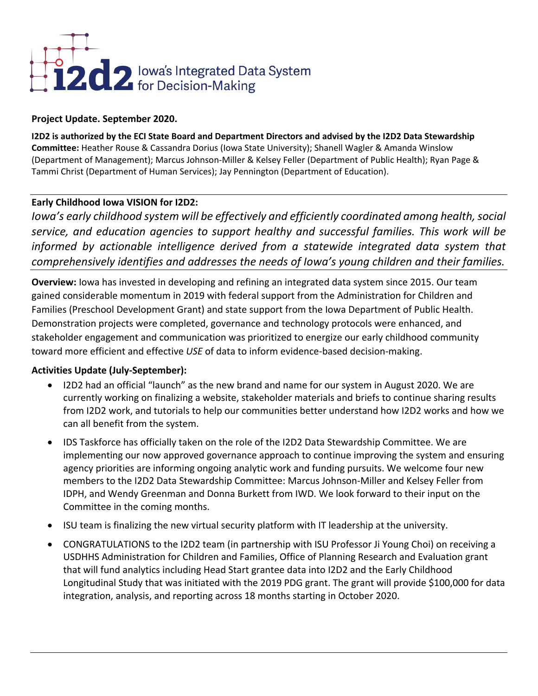

# **Project Update. September 2020.**

**I2D2 is authorized by the ECI State Board and Department Directors and advised by the I2D2 Data Stewardship Committee:** Heather Rouse & Cassandra Dorius (Iowa State University); Shanell Wagler & Amanda Winslow (Department of Management); Marcus Johnson-Miller & Kelsey Feller (Department of Public Health); Ryan Page & Tammi Christ (Department of Human Services); Jay Pennington (Department of Education).

## **Early Childhood Iowa VISION for I2D2:**

*Iowa's early childhood system will be effectively and efficiently coordinated among health, social service, and education agencies to support healthy and successful families. This work will be informed by actionable intelligence derived from a statewide integrated data system that comprehensively identifies and addresses the needs of Iowa's young children and their families.*

**Overview:** Iowa has invested in developing and refining an integrated data system since 2015. Our team gained considerable momentum in 2019 with federal support from the Administration for Children and Families (Preschool Development Grant) and state support from the Iowa Department of Public Health. Demonstration projects were completed, governance and technology protocols were enhanced, and stakeholder engagement and communication was prioritized to energize our early childhood community toward more efficient and effective *USE* of data to inform evidence-based decision-making.

# **Activities Update (July-September):**

- I2D2 had an official "launch" as the new brand and name for our system in August 2020. We are currently working on finalizing a website, stakeholder materials and briefs to continue sharing results from I2D2 work, and tutorials to help our communities better understand how I2D2 works and how we can all benefit from the system.
- IDS Taskforce has officially taken on the role of the I2D2 Data Stewardship Committee. We are implementing our now approved governance approach to continue improving the system and ensuring agency priorities are informing ongoing analytic work and funding pursuits. We welcome four new members to the I2D2 Data Stewardship Committee: Marcus Johnson-Miller and Kelsey Feller from IDPH, and Wendy Greenman and Donna Burkett from IWD. We look forward to their input on the Committee in the coming months.
- ISU team is finalizing the new virtual security platform with IT leadership at the university.
- CONGRATULATIONS to the I2D2 team (in partnership with ISU Professor Ji Young Choi) on receiving a USDHHS Administration for Children and Families, Office of Planning Research and Evaluation grant that will fund analytics including Head Start grantee data into I2D2 and the Early Childhood Longitudinal Study that was initiated with the 2019 PDG grant. The grant will provide \$100,000 for data integration, analysis, and reporting across 18 months starting in October 2020.